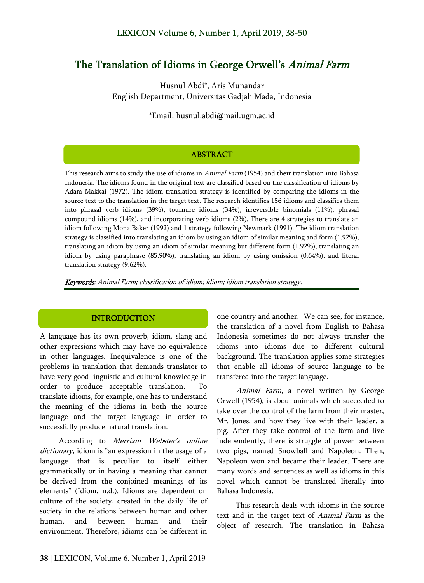# The Translation of Idioms in George Orwell's Animal Farm

Husnul Abdi\*, Aris Munandar English Department, Universitas Gadjah Mada, Indonesia

\*Email: husnul.abdi@mail.ugm.ac.id

### ABSTRACT

This research aims to study the use of idioms in *Animal Farm* (1954) and their translation into Bahasa Indonesia. The idioms found in the original text are classified based on the classification of idioms by Adam Makkai (1972). The idiom translation strategy is identified by comparing the idioms in the source text to the translation in the target text. The research identifies 156 idioms and classifies them into phrasal verb idioms (39%), tournure idioms (34%), irreversible binomials (11%), phrasal compound idioms (14%), and incorporating verb idioms (2%). There are 4 strategies to translate an idiom following Mona Baker (1992) and 1 strategy following Newmark (1991). The idiom translation strategy is classified into translating an idiom by using an idiom of similar meaning and form (1.92%), translating an idiom by using an idiom of similar meaning but different form (1.92%), translating an idiom by using paraphrase (85.90%), translating an idiom by using omission (0.64%), and literal translation strategy (9.62%).

Keywords: Animal Farm; classification of idiom; idiom; idiom translation strategy.

## **INTRODUCTION**

A language has its own proverb, idiom, slang and other expressions which may have no equivalence in other languages. Inequivalence is one of the problems in translation that demands translator to have very good linguistic and cultural knowledge in order to produce acceptable translation. To translate idioms, for example, one has to understand the meaning of the idioms in both the source language and the target language in order to successfully produce natural translation.

According to Merriam Webster's online dictionary, idiom is "an expression in the usage of a language that is peculiar to itself either grammatically or in having a meaning that cannot be derived from the conjoined meanings of its elements" (Idiom, n.d.). Idioms are dependent on culture of the society, created in the daily life of society in the relations between human and other human, and between human and their environment. Therefore, idioms can be different in

one country and another. We can see, for instance, the translation of a novel from English to Bahasa Indonesia sometimes do not always transfer the idioms into idioms due to different cultural background. The translation applies some strategies that enable all idioms of source language to be transfered into the target language.

Animal Farm, a novel written by George Orwell (1954), is about animals which succeeded to take over the control of the farm from their master, Mr. Jones, and how they live with their leader, a pig. After they take control of the farm and live independently, there is struggle of power between two pigs, named Snowball and Napoleon. Then, Napoleon won and became their leader. There are many words and sentences as well as idioms in this novel which cannot be translated literally into Bahasa Indonesia.

This research deals with idioms in the source text and in the target text of Animal Farm as the object of research. The translation in Bahasa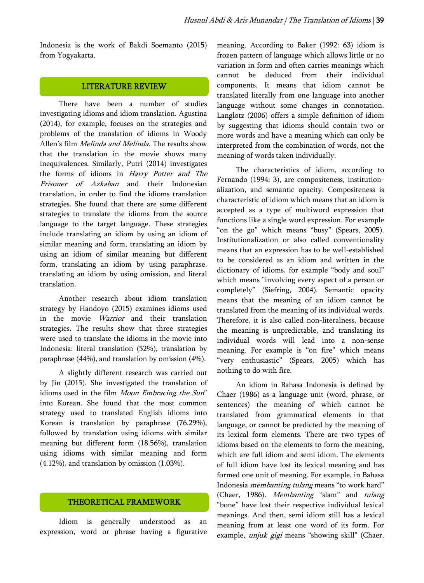Indonesia is the work of Bakdi Soemanto (2015) from Yogyakarta.

#### LITERATURE REVIEW

There have been a number of studies investigating idioms and idiom translation. Agustina (2014), for example, focuses on the strategies and problems of the translation of idioms in Woody Allen's film *Melinda and Melinda*. The results show that the translation in the movie shows many inequivalences. Similarly, Putri (2014) investigates the forms of idioms in Harry Potter and The Prisoner of Azkaban and their Indonesian translation, in order to find the idioms translation strategies. She found that there are some different strategies to translate the idioms from the source language to the target language. These strategies include translating an idiom by using an idiom of similar meaning and form, translating an idiom by using an idiom of similar meaning but different form, translating an idiom by using paraphrase, translating an idiom by using omission, and literal translation.

Another research about idiom translation strategy by Handoyo (2015) examines idioms used in the movie Warrior and their translation strategies. The results show that three strategies were used to translate the idioms in the movie into Indonesia: literal translation (52%), translation by paraphrase (44%), and translation by omission (4%).

A slightly different research was carried out by Jin (2015). She investigated the translation of idioms used in the film Moon Embracing the Sun" into Korean. She found that the most common strategy used to translated English idioms into Korean is translation by paraphrase (76.29%), followed by translation using idioms with similar meaning but different form (18.56%), translation using idioms with similar meaning and form (4.12%), and translation by omission (1.03%).

#### THEORETICAL FRAMEWORK

Idiom is generally understood as an expression, word or phrase having a figurative meaning. According to Baker (1992: 63) idiom is frozen pattern of language which allows little or no variation in form and often carries meanings which cannot be deduced from their individual components. It means that idiom cannot be translated literally from one language into another language without some changes in connotation. Langlotz (2006) offers a simple definition of idiom by suggesting that idioms should contain two or more words and have a meaning which can only be interpreted from the combination of words, not the meaning of words taken individually.

The characteristics of idiom, according to Fernando (1994: 3), are compositeness, institutionalization, and semantic opacity. Compositeness is characteristic of idiom which means that an idiom is accepted as a type of multiword expression that functions like a single word expression. For example "on the go" which means "busy" (Spears, 2005). Institutionalization or also called conventionality means that an expression has to be well-established to be considered as an idiom and written in the dictionary of idioms, for example "body and soul" which means "involving every aspect of a person or completely" (Siefring, 2004). Semantic opacity means that the meaning of an idiom cannot be translated from the meaning of its individual words. Therefore, it is also called non-literalness, because the meaning is unpredictable, and translating its individual words will lead into a non-sense meaning. For example is "on fire" which means "very enthusiastic" (Spears, 2005) which has nothing to do with fire.

An idiom in Bahasa Indonesia is defined by Chaer (1986) as a language unit (word, phrase, or sentences) the meaning of which cannot be translated from grammatical elements in that language, or cannot be predicted by the meaning of its lexical form elements. There are two types of idioms based on the elements to form the meaning, which are full idiom and semi idiom. The elements of full idiom have lost its lexical meaning and has formed one unit of meaning. For example, in Bahasa Indonesia membanting tulang means "to work hard" (Chaer, 1986). Membanting "slam" and tulang "bone" have lost their respective individual lexical meanings. And then, semi idiom still has a lexical meaning from at least one word of its form. For example, *unjuk gigi* means "showing skill" (Chaer,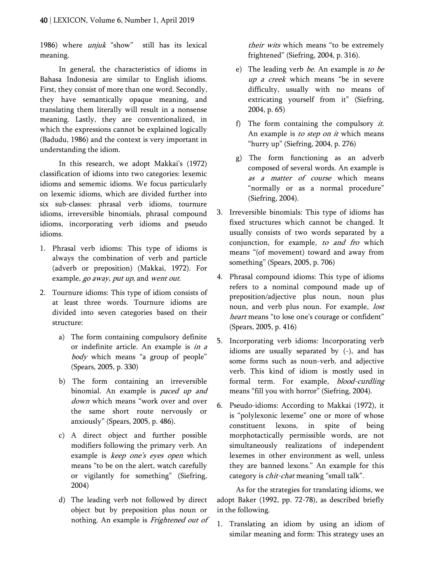1986) where *unjuk* "show" still has its lexical meaning.

In general, the characteristics of idioms in Bahasa Indonesia are similar to English idioms. First, they consist of more than one word. Secondly, they have semantically opaque meaning, and translating them literally will result in a nonsense meaning. Lastly, they are conventionalized, in which the expressions cannot be explained logically (Badudu, 1986) and the context is very important in understanding the idiom.

In this research, we adopt Makkai's (1972) classification of idioms into two categories: lexemic idioms and sememic idioms. We focus particularly on lexemic idioms, which are divided further into six sub-classes: phrasal verb idioms, tournure idioms, irreversible binomials, phrasal compound idioms, incorporating verb idioms and pseudo idioms.

- 1. Phrasal verb idioms: This type of idioms is always the combination of verb and particle (adverb or preposition) (Makkai, 1972). For example, go away, put up, and went out.
- 2. Tournure idioms: This type of idiom consists of at least three words. Tournure idioms are divided into seven categories based on their structure:
	- a) The form containing compulsory definite or indefinite article. An example is in a body which means "a group of people" (Spears, 2005, p. 330)
	- b) The form containing an irreversible binomial. An example is *paced up and* down which means "work over and over the same short route nervously or anxiously" (Spears, 2005, p. 486).
	- c) A direct object and further possible modifiers following the primary verb. An example is *keep one's eyes open* which means "to be on the alert, watch carefully or vigilantly for something" (Siefring, 2004)
	- d) The leading verb not followed by direct object but by preposition plus noun or nothing. An example is Frightened out of

their wits which means "to be extremely frightened" (Siefring, 2004, p. 316).

- e) The leading verb be. An example is to be up a creek which means "be in severe difficulty, usually with no means of extricating yourself from it" (Siefring, 2004, p. 65)
- f) The form containing the compulsory  $it$ . An example is *to step on it* which means "hurry up" (Siefring, 2004, p. 276)
- g) The form functioning as an adverb composed of several words. An example is as a matter of course which means "normally or as a normal procedure" (Siefring, 2004).
- 3. Irreversible binomials: This type of idioms has fixed structures which cannot be changed. It usually consists of two words separated by a conjunction, for example, to and fro which means "(of movement) toward and away from something" (Spears, 2005, p. 706)
- 4. Phrasal compound idioms: This type of idioms refers to a nominal compound made up of preposition/adjective plus noun, noun plus noun, and verb plus noun. For example, *lost* heart means "to lose one's courage or confident" (Spears, 2005, p. 416)
- 5. Incorporating verb idioms: Incorporating verb idioms are usually separated by (-), and has some forms such as noun-verb, and adjective verb. This kind of idiom is mostly used in formal term. For example, *blood-curdling* means "fill you with horror" (Siefring, 2004).
- 6. Pseudo-idioms: According to Makkai (1972), it is "polylexonic lexeme" one or more of whose constituent lexons, in spite of being morphotactically permissible words, are not simultaneously realizations of independent lexemes in other environment as well, unless they are banned lexons." An example for this category is *chit-chat* meaning "small talk".

As for the strategies for translating idioms, we adopt Baker (1992, pp. 72-78), as described briefly in the following.

1. Translating an idiom by using an idiom of similar meaning and form: This strategy uses an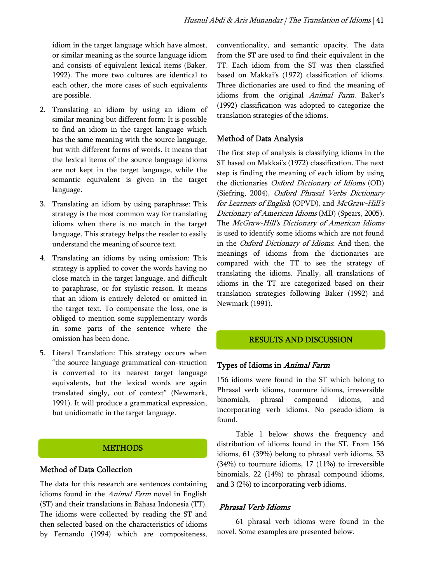idiom in the target language which have almost, or similar meaning as the source language idiom and consists of equivalent lexical items (Baker, 1992). The more two cultures are identical to each other, the more cases of such equivalents are possible.

- 2. Translating an idiom by using an idiom of similar meaning but different form: It is possible to find an idiom in the target language which has the same meaning with the source language, but with different forms of words. It means that the lexical items of the source language idioms are not kept in the target language, while the semantic equivalent is given in the target language.
- 3. Translating an idiom by using paraphrase: This strategy is the most common way for translating idioms when there is no match in the target language. This strategy helps the reader to easily understand the meaning of source text.
- 4. Translating an idioms by using omission: This strategy is applied to cover the words having no close match in the target language, and difficult to paraphrase, or for stylistic reason. It means that an idiom is entirely deleted or omitted in the target text. To compensate the loss, one is obliged to mention some supplementary words in some parts of the sentence where the omission has been done.
- 5. Literal Translation: This strategy occurs when "the source language grammatical con-struction is converted to its nearest target language equivalents, but the lexical words are again translated singly, out of context" (Newmark, 1991). It will produce a grammatical expression, but unidiomatic in the target language.

## **METHODS**

## Method of Data Collection

The data for this research are sentences containing idioms found in the Animal Farm novel in English (ST) and their translations in Bahasa Indonesia (TT). The idioms were collected by reading the ST and then selected based on the characteristics of idioms by Fernando (1994) which are compositeness, conventionality, and semantic opacity. The data from the ST are used to find their equivalent in the TT. Each idiom from the ST was then classified based on Makkai's (1972) classification of idioms. Three dictionaries are used to find the meaning of idioms from the original Animal Farm. Baker's (1992) classification was adopted to categorize the translation strategies of the idioms.

## Method of Data Analysis

The first step of analysis is classifying idioms in the ST based on Makkai's (1972) classification. The next step is finding the meaning of each idiom by using the dictionaries Oxford Dictionary of Idioms (OD) (Siefring, 2004), Oxford Phrasal Verbs Dictionary for Learners of English (OPVD), and McGraw-Hill's Dictionary of American Idioms (MD) (Spears, 2005). The McGraw-Hill's Dictionary of American Idioms is used to identify some idioms which are not found in the Oxford Dictionary of Idioms. And then, the meanings of idioms from the dictionaries are compared with the TT to see the strategy of translating the idioms. Finally, all translations of idioms in the TT are categorized based on their translation strategies following Baker (1992) and Newmark (1991).

## RESULTS AND DISCUSSION

## Types of Idioms in Animal Farm

156 idioms were found in the ST which belong to Phrasal verb idioms, tournure idioms, irreversible binomials, phrasal compound idioms, and incorporating verb idioms. No pseudo-idiom is found.

Table 1 below shows the frequency and distribution of idioms found in the ST. From 156 idioms, 61 (39%) belong to phrasal verb idioms, 53 (34%) to tournure idioms, 17 (11%) to irreversible binomials, 22 (14%) to phrasal compound idioms, and 3 (2%) to incorporating verb idioms.

## Phrasal Verb Idioms

61 phrasal verb idioms were found in the novel. Some examples are presented below.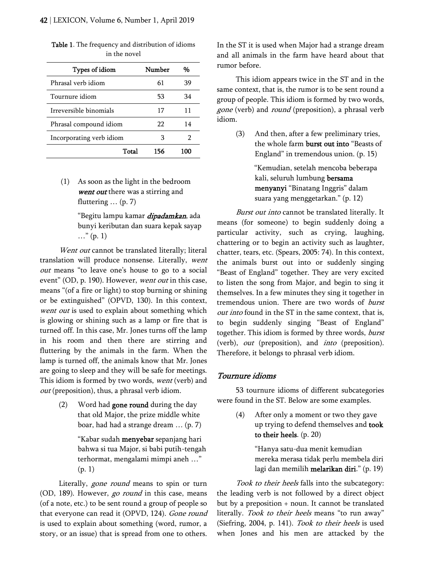| Types of idiom           | Number | %   |
|--------------------------|--------|-----|
| Phrasal verb idiom       | 61     | 39  |
| Tournure idiom           | 53     | 34  |
| Irreversible binomials   | 17     | 11  |
| Phrasal compound idiom   | 22     | 14  |
| Incorporating verb idiom | З      |     |
| Total                    | 156    | 100 |

Table 1. The frequency and distribution of idioms in the novel

(1) As soon as the light in the bedroom went out there was a stirring and fluttering ... (p. 7)

> "Begitu lampu kamar *dipadamkan*, ada bunyi keributan dan suara kepak sayap  $\ldots$ " (p. 1)

Went out cannot be translated literally; literal translation will produce nonsense. Literally, went out means "to leave one's house to go to a social event" (OD, p. 190). However, went out in this case, means "(of a fire or light) to stop burning or shining or be extinguished" (OPVD, 130). In this context, went out is used to explain about something which is glowing or shining such as a lamp or fire that is turned off. In this case, Mr. Jones turns off the lamp in his room and then there are stirring and fluttering by the animals in the farm. When the lamp is turned off, the animals know that Mr. Jones are going to sleep and they will be safe for meetings. This idiom is formed by two words, went (verb) and out (preposition), thus, a phrasal verb idiom.

> (2) Word had gone round during the day that old Major, the prize middle white boar, had had a strange dream … (p. 7)

> > "Kabar sudah menyebar sepanjang hari bahwa si tua Major, si babi putih-tengah terhormat, mengalami mimpi aneh …" (p. 1)

Literally, *gone round* means to spin or turn (OD, 189). However, go round in this case, means (of a note, etc.) to be sent round a group of people so that everyone can read it (OPVD, 124). Gone round is used to explain about something (word, rumor, a story, or an issue) that is spread from one to others. In the ST it is used when Major had a strange dream and all animals in the farm have heard about that rumor before.

This idiom appears twice in the ST and in the same context, that is, the rumor is to be sent round a group of people. This idiom is formed by two words, gone (verb) and round (preposition), a phrasal verb idiom.

> (3) And then, after a few preliminary tries, the whole farm burst out into "Beasts of England" in tremendous union. (p. 15)

> > "Kemudian, setelah mencoba beberapa kali, seluruh lumbung bersama menyanyi "Binatang Inggris" dalam suara yang menggetarkan." (p. 12)

Burst out into cannot be translated literally. It means (for someone) to begin suddenly doing a particular activity, such as crying, laughing, chattering or to begin an activity such as laughter, chatter, tears, etc. (Spears, 2005: 74). In this context, the animals burst out into or suddenly singing "Beast of England" together. They are very excited to listen the song from Major, and begin to sing it themselves. In a few minutes they sing it together in tremendous union. There are two words of burst out into found in the ST in the same context, that is, to begin suddenly singing "Beast of England" together. This idiom is formed by three words, burst (verb), *out* (preposition), and *into* (preposition). Therefore, it belongs to phrasal verb idiom.

#### Tournure idioms

53 tournure idioms of different subcategories were found in the ST. Below are some examples.

> (4) After only a moment or two they gave up trying to defend themselves and took to their heels. (p. 20)

> > "Hanya satu-dua menit kemudian mereka merasa tidak perlu membela diri lagi dan memilih melarikan diri." (p. 19)

Took to their heels falls into the subcategory: the leading verb is not followed by a direct object but by a preposition + noun. It cannot be translated literally. Took to their heels means "to run away" (Siefring, 2004, p. 141). Took to their heels is used when Jones and his men are attacked by the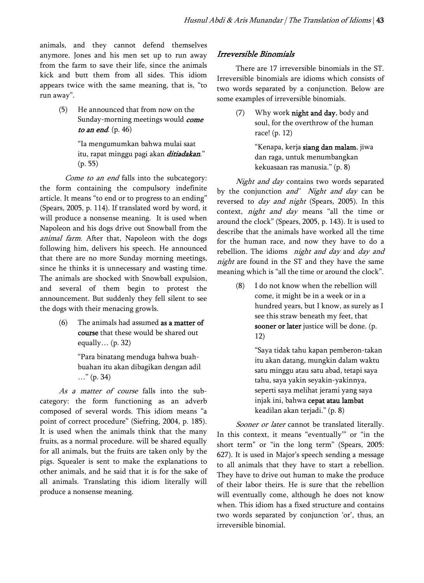animals, and they cannot defend themselves anymore. Jones and his men set up to run away from the farm to save their life, since the animals kick and butt them from all sides. This idiom appears twice with the same meaning, that is, "to run away".

> (5) He announced that from now on the Sunday-morning meetings would *come* to an end.  $(p. 46)$

> > "Ia mengumumkan bahwa mulai saat itu, rapat minggu pagi akan *ditiadakan*." (p. 55)

Come to an end falls into the subcategory: the form containing the compulsory indefinite article. It means "to end or to progress to an ending" (Spears, 2005, p. 114). If translated word by word, it will produce a nonsense meaning. It is used when Napoleon and his dogs drive out Snowball from the animal farm. After that, Napoleon with the dogs following him, delivers his speech. He announced that there are no more Sunday morning meetings, since he thinks it is unnecessary and wasting time. The animals are shocked with Snowball expulsion, and several of them begin to protest the announcement. But suddenly they fell silent to see the dogs with their menacing growls.

> (6) The animals had assumed as a matter of course that these would be shared out equally… (p. 32)

> > "Para binatang menduga bahwa buahbuahan itu akan dibagikan dengan adil …" (p. 34)

As a matter of course falls into the subcategory: the form functioning as an adverb composed of several words. This idiom means "a point of correct procedure" (Siefring, 2004, p. 185). It is used when the animals think that the many fruits, as a normal procedure. will be shared equally for all animals, but the fruits are taken only by the pigs. Squealer is sent to make the explanations to other animals, and he said that it is for the sake of all animals. Translating this idiom literally will produce a nonsense meaning.

## Irreversible Binomials

There are 17 irreversible binomials in the ST. Irreversible binomials are idioms which consists of two words separated by a conjunction. Below are some examples of irreversible binomials.

> (7) Why work night and day, body and soul, for the overthrow of the human race! (p. 12)

> > "Kenapa, kerja siang dan malam, jiwa dan raga, untuk menumbangkan kekuasaan ras manusia." (p. 8)

Night and day contains two words separated by the conjunction *and' Night and day* can be reversed to *day and night* (Spears, 2005). In this context, night and day means "all the time or around the clock" (Spears, 2005, p. 143). It is used to describe that the animals have worked all the time for the human race, and now they have to do a rebellion. The idioms night and day and day and night are found in the ST and they have the same meaning which is "all the time or around the clock".

> (8) I do not know when the rebellion will come, it might be in a week or in a hundred years, but I know, as surely as I see this straw beneath my feet, that sooner or later justice will be done. (p. 12)

> > "Saya tidak tahu kapan pemberon-takan itu akan datang, mungkin dalam waktu satu minggu atau satu abad, tetapi saya tahu, saya yakin seyakin-yakinnya, seperti saya melihat jerami yang saya injak ini, bahwa cepat atau lambat keadilan akan terjadi." (p. 8)

Sooner or later cannot be translated literally. In this context, it means "eventually'" or "in the short term" or "in the long term" (Spears, 2005: 627). It is used in Major's speech sending a message to all animals that they have to start a rebellion. They have to drive out human to make the produce of their labor theirs. He is sure that the rebellion will eventually come, although he does not know when. This idiom has a fixed structure and contains two words separated by conjunction 'or', thus, an irreversible binomial.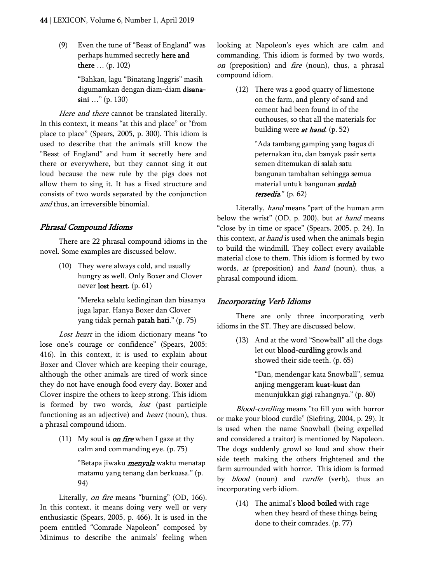(9) Even the tune of "Beast of England" was perhaps hummed secretly here and there … (p. 102)

> "Bahkan, lagu "Binatang Inggris" masih digumamkan dengan diam-diam disanasini ..." (p. 130)

Here and there cannot be translated literally. In this context, it means "at this and place" or "from place to place" (Spears, 2005, p. 300). This idiom is used to describe that the animals still know the "Beast of England" and hum it secretly here and there or everywhere, but they cannot sing it out loud because the new rule by the pigs does not allow them to sing it. It has a fixed structure and consists of two words separated by the conjunction and thus, an irreversible binomial.

### Phrasal Compound Idioms

There are 22 phrasal compound idioms in the novel. Some examples are discussed below.

> (10) They were always cold, and usually hungry as well. Only Boxer and Clover never lost heart. (p. 61)

> > "Mereka selalu kedinginan dan biasanya juga lapar. Hanya Boxer dan Clover yang tidak pernah patah hati." (p. 75)

Lost heart in the idiom dictionary means "to lose one's courage or confidence" (Spears, 2005: 416). In this context, it is used to explain about Boxer and Clover which are keeping their courage, although the other animals are tired of work since they do not have enough food every day. Boxer and Clover inspire the others to keep strong. This idiom is formed by two words, lost (past participle functioning as an adjective) and *heart* (noun), thus. a phrasal compound idiom.

> (11) My soul is *on fire* when I gaze at thy calm and commanding eye. (p. 75)

> > "Betapa jiwaku *menyala* waktu menatap matamu yang tenang dan berkuasa." (p. 94)

Literally, on fire means "burning" (OD, 166). In this context, it means doing very well or very enthusiastic (Spears, 2005, p. 466). It is used in the poem entitled "Comrade Napoleon" composed by Minimus to describe the animals' feeling when looking at Napoleon's eyes which are calm and commanding. This idiom is formed by two words, on (preposition) and *fire* (noun), thus, a phrasal compound idiom.

> (12) There was a good quarry of limestone on the farm, and plenty of sand and cement had been found in of the outhouses, so that all the materials for building were  $at$  hand. (p. 52)

> > "Ada tambang gamping yang bagus di peternakan itu, dan banyak pasir serta semen ditemukan di salah satu bangunan tambahan sehingga semua material untuk bangunan sudah tersedia." (p. 62)

Literally, *hand* means "part of the human arm below the wrist" (OD, p. 200), but *at hand* means "close by in time or space" (Spears, 2005, p. 24). In this context, at hand is used when the animals begin to build the windmill. They collect every available material close to them. This idiom is formed by two words, at (preposition) and hand (noun), thus, a phrasal compound idiom.

#### Incorporating Verb Idioms

There are only three incorporating verb idioms in the ST. They are discussed below.

> (13) And at the word "Snowball" all the dogs let out blood-curdling growls and showed their side teeth. (p. 65)

> > "Dan, mendengar kata Snowball", semua anjing menggeram kuat-kuat dan menunjukkan gigi rahangnya." (p. 80)

Blood-curdling means "to fill you with horror or make your blood curdle" (Siefring, 2004, p. 29). It is used when the name Snowball (being expelled and considered a traitor) is mentioned by Napoleon. The dogs suddenly growl so loud and show their side teeth making the others frightened and the farm surrounded with horror. This idiom is formed by *blood* (noun) and *curdle* (verb), thus an incorporating verb idiom.

> (14) The animal's blood boiled with rage when they heard of these things being done to their comrades. (p. 77)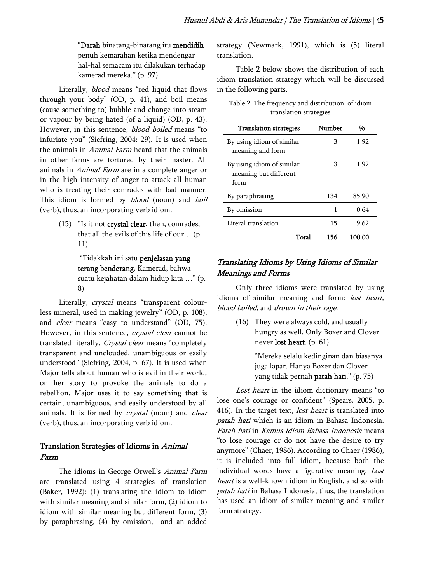"Darah binatang-binatang itu mendidih penuh kemarahan ketika mendengar hal-hal semacam itu dilakukan terhadap kamerad mereka." (p. 97)

Literally, *blood* means "red liquid that flows through your body" (OD, p. 41), and boil means (cause something to) bubble and change into steam or vapour by being hated (of a liquid) (OD, p. 43). However, in this sentence, *blood boiled* means "to infuriate you" (Siefring, 2004: 29). It is used when the animals in *Animal Farm* heard that the animals in other farms are tortured by their master. All animals in Animal Farm are in a complete anger or in the high intensity of anger to attack all human who is treating their comrades with bad manner. This idiom is formed by *blood* (noun) and *boil* (verb), thus, an incorporating verb idiom.

> (15) "Is it not crystal clear, then, comrades, that all the evils of this life of our… (p. 11)

> > "Tidakkah ini satu penjelasan yang terang benderang, Kamerad, bahwa suatu kejahatan dalam hidup kita …" (p. 8)

Literally, *crystal* means "transparent colourless mineral, used in making jewelry" (OD, p. 108), and *clear* means "easy to understand" (OD, 75). However, in this sentence, crystal clear cannot be translated literally. Crystal clear means "completely transparent and unclouded, unambiguous or easily understood" (Siefring, 2004, p. 67). It is used when Major tells about human who is evil in their world, on her story to provoke the animals to do a rebellion. Major uses it to say something that is certain, unambiguous, and easily understood by all animals. It is formed by crystal (noun) and clear (verb), thus, an incorporating verb idiom.

## Translation Strategies of Idioms in Animal Farm

The idioms in George Orwell's Animal Farm are translated using 4 strategies of translation (Baker, 1992): (1) translating the idiom to idiom with similar meaning and similar form, (2) idiom to idiom with similar meaning but different form, (3) by paraphrasing, (4) by omission, and an added strategy (Newmark, 1991), which is (5) literal translation.

Table 2 below shows the distribution of each idiom translation strategy which will be discussed in the following parts.

| Table 2. The frequency and distribution of idiom |  |
|--------------------------------------------------|--|
| translation strategies                           |  |

| <b>Translation strategies</b>                              | Number | %      |
|------------------------------------------------------------|--------|--------|
| By using idiom of similar<br>meaning and form              | З      | 1.92   |
| By using idiom of similar<br>meaning but different<br>form | З      | 1.92   |
| By paraphrasing                                            | 134    | 85.90  |
| By omission                                                | 1      | 0.64   |
| Literal translation                                        | 15     | 9.62   |
| Total                                                      | 156    | 100.00 |

## Translating Idioms by Using Idioms of Similar Meanings and Forms

Only three idioms were translated by using idioms of similar meaning and form: lost heart, blood boiled, and drown in their rage.

> (16) They were always cold, and usually hungry as well. Only Boxer and Clover never lost heart. (p. 61)

> > "Mereka selalu kedinginan dan biasanya juga lapar. Hanya Boxer dan Clover yang tidak pernah patah hati." (p. 75)

Lost heart in the idiom dictionary means "to lose one's courage or confident" (Spears, 2005, p. 416). In the target text, *lost heart* is translated into patah hati which is an idiom in Bahasa Indonesia. Patah hati in Kamus Idiom Bahasa Indonesia means "to lose courage or do not have the desire to try anymore" (Chaer, 1986). According to Chaer (1986), it is included into full idiom, because both the individual words have a figurative meaning. Lost heart is a well-known idiom in English, and so with patah hati in Bahasa Indonesia, thus, the translation has used an idiom of similar meaning and similar form strategy.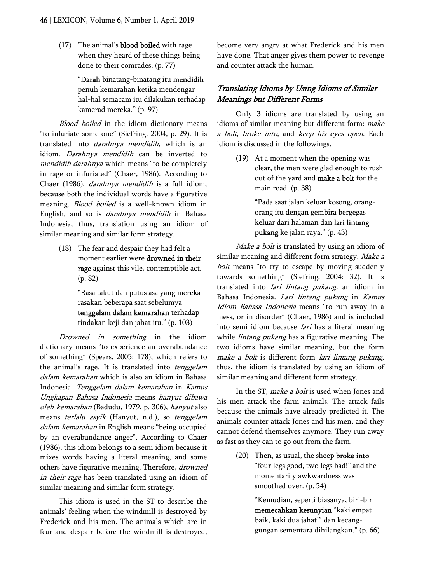(17) The animal's blood boiled with rage when they heard of these things being done to their comrades. (p. 77)

> "Darah binatang-binatang itu mendidih penuh kemarahan ketika mendengar hal-hal semacam itu dilakukan terhadap kamerad mereka." (p. 97)

Blood boiled in the idiom dictionary means "to infuriate some one" (Siefring, 2004, p. 29). It is translated into *darahnya mendidih*, which is an idiom. Darahnya mendidih can be inverted to mendidih darahnya which means "to be completely in rage or infuriated" (Chaer, 1986). According to Chaer (1986), darahnya mendidih is a full idiom, because both the individual words have a figurative meaning. *Blood boiled* is a well-known idiom in English, and so is darahnya mendidih in Bahasa Indonesia, thus, translation using an idiom of similar meaning and similar form strategy.

> (18) The fear and despair they had felt a moment earlier were drowned in their rage against this vile, contemptible act. (p. 82)

> > "Rasa takut dan putus asa yang mereka rasakan beberapa saat sebelumya tenggelam dalam kemarahan terhadap tindakan keji dan jahat itu." (p. 103)

Drowned in something in the idiom dictionary means "to experience an overabundance of something" (Spears, 2005: 178), which refers to the animal's rage. It is translated into tenggelam dalam kemarahan which is also an idiom in Bahasa Indonesia. Tenggelam dalam kemarahan in Kamus Ungkapan Bahasa Indonesia means hanyut dibawa oleh kemarahan (Badudu, 1979, p. 306), hanyut also means terlalu asyik (Hanyut, n.d.), so tenggelam dalam kemarahan in English means "being occupied by an overabundance anger". According to Chaer (1986), this idiom belongs to a semi idiom because it mixes words having a literal meaning, and some others have figurative meaning. Therefore, drowned in their rage has been translated using an idiom of similar meaning and similar form strategy.

This idiom is used in the ST to describe the animals' feeling when the windmill is destroyed by Frederick and his men. The animals which are in fear and despair before the windmill is destroyed, become very angry at what Frederick and his men have done. That anger gives them power to revenge and counter attack the human.

## Translating Idioms by Using Idioms of Similar Meanings but Different Forms

Only 3 idioms are translated by using an idioms of similar meaning but different form: make a bolt, broke into, and keep his eyes open. Each idiom is discussed in the followings.

> (19) At a moment when the opening was clear, the men were glad enough to rush out of the yard and make a bolt for the main road. (p. 38)

> > "Pada saat jalan keluar kosong, orangorang itu dengan gembira bergegas keluar dari halaman dan lari lintang pukang ke jalan raya." (p. 43)

Make a bolt is translated by using an idiom of similar meaning and different form strategy. Make a bolt means "to try to escape by moving suddenly towards something" (Siefring, 2004: 32). It is translated into lari lintang pukang, an idiom in Bahasa Indonesia. Lari lintang pukang in Kamus Idiom Bahasa Indonesia means "to run away in a mess, or in disorder" (Chaer, 1986) and is included into semi idiom because *lari* has a literal meaning while *lintang pukang* has a figurative meaning. The two idioms have similar meaning, but the form make a bolt is different form lari lintang pukang, thus, the idiom is translated by using an idiom of similar meaning and different form strategy.

In the ST, make a bolt is used when Jones and his men attack the farm animals. The attack fails because the animals have already predicted it. The animals counter attack Jones and his men, and they cannot defend themselves anymore. They run away as fast as they can to go out from the farm.

> (20) Then, as usual, the sheep broke into "four legs good, two legs bad!" and the momentarily awkwardness was smoothed over. (p. 54)

> > "Kemudian, seperti biasanya, biri-biri memecahkan kesunyian "kaki empat baik, kaki dua jahat!" dan kecanggungan sementara dihilangkan." (p. 66)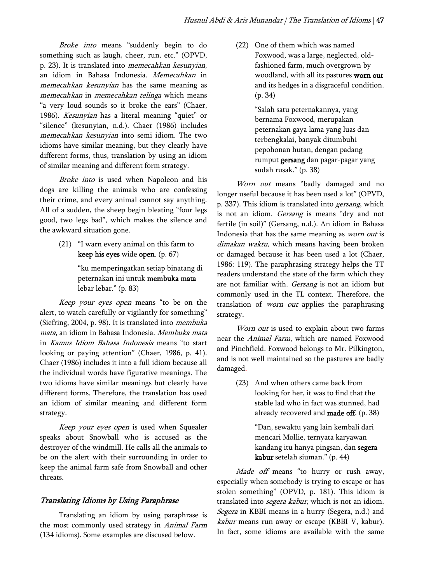Broke into means "suddenly begin to do something such as laugh, cheer, run, etc." (OPVD, p. 23). It is translated into memecahkan kesunyian, an idiom in Bahasa Indonesia. Memecahkan in memecahkan kesunyian has the same meaning as memecahkan in memecahkan telinga which means "a very loud sounds so it broke the ears" (Chaer, 1986). Kesunyian has a literal meaning "quiet" or "silence" (kesunyian, n.d.). Chaer (1986) includes memecahkan kesunyian into semi idiom. The two idioms have similar meaning, but they clearly have different forms, thus, translation by using an idiom of similar meaning and different form strategy.

Broke into is used when Napoleon and his dogs are killing the animals who are confessing their crime, and every animal cannot say anything. All of a sudden, the sheep begin bleating "four legs good, two legs bad", which makes the silence and the awkward situation gone.

> (21) "I warn every animal on this farm to keep his eyes wide open. (p. 67)

> > "ku memperingatkan setiap binatang di peternakan ini untuk membuka mata lebar lebar." (p. 83)

Keep your eyes open means "to be on the alert, to watch carefully or vigilantly for something" (Siefring, 2004, p. 98). It is translated into membuka mata, an idiom in Bahasa Indonesia. Membuka mata in Kamus Idiom Bahasa Indonesia means "to start looking or paying attention" (Chaer, 1986, p. 41). Chaer (1986) includes it into a full idiom because all the individual words have figurative meanings. The two idioms have similar meanings but clearly have different forms. Therefore, the translation has used an idiom of similar meaning and different form strategy.

Keep your eyes open is used when Squealer speaks about Snowball who is accused as the destroyer of the windmill. He calls all the animals to be on the alert with their surrounding in order to keep the animal farm safe from Snowball and other threats.

## Translating Idioms by Using Paraphrase

Translating an idiom by using paraphrase is the most commonly used strategy in Animal Farm (134 idioms). Some examples are discused below.

(22) One of them which was named Foxwood, was a large, neglected, oldfashioned farm, much overgrown by woodland, with all its pastures worn out and its hedges in a disgraceful condition. (p. 34)

> "Salah satu peternakannya, yang bernama Foxwood, merupakan peternakan gaya lama yang luas dan terbengkalai, banyak ditumbuhi pepohonan hutan, dengan padang rumput gersang dan pagar-pagar yang sudah rusak." (p. 38)

Worn out means "badly damaged and no longer useful because it has been used a lot" (OPVD, p. 337). This idiom is translated into gersang, which is not an idiom. Gersang is means "dry and not fertile (in soil)" (Gersang, n.d.). An idiom in Bahasa Indonesia that has the same meaning as worn out is dimakan waktu, which means having been broken or damaged because it has been used a lot (Chaer, 1986: 119). The paraphrasing strategy helps the TT readers understand the state of the farm which they are not familiar with. Gersang is not an idiom but commonly used in the TL context. Therefore, the translation of *worn out* applies the paraphrasing strategy.

Worn out is used to explain about two farms near the Animal Farm, which are named Foxwood and Pinchfield. Foxwood belongs to Mr. Pilkington, and is not well maintained so the pastures are badly damaged.

> (23) And when others came back from looking for her, it was to find that the stable lad who in fact was stunned, had already recovered and made off. (p. 38)

> > "Dan, sewaktu yang lain kembali dari mencari Mollie, ternyata karyawan kandang itu hanya pingsan, dan segera kabur setelah siuman." (p. 44)

Made off means "to hurry or rush away, especially when somebody is trying to escape or has stolen something" (OPVD, p. 181). This idiom is translated into *segera kabur*, which is not an idiom. Segera in KBBI means in a hurry (Segera, n.d.) and kabur means run away or escape (KBBI V, kabur). In fact, some idioms are available with the same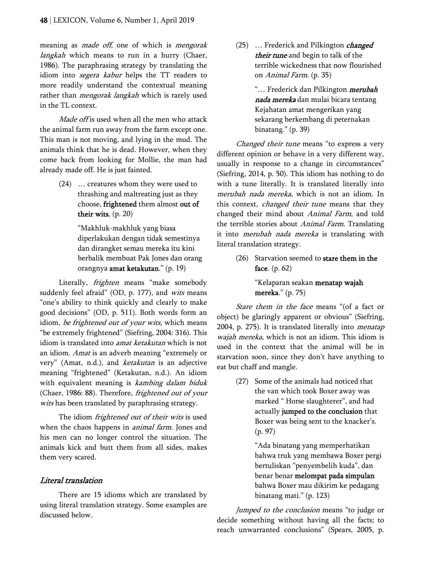meaning as *made off*, one of which is *mengorak* langkah which means to run in a hurry (Chaer, 1986). The paraphrasing strategy by translating the idiom into *segera kabur* helps the TT readers to more readily understand the contextual meaning rather than *mengorak langkah* which is rarely used in the TL context.

Made off is used when all the men who attack the animal farm run away from the farm except one. This man is not moving, and lying in the mud. The animals think that he is dead. However, when they come back from looking for Mollie, the man had already made off. He is just fainted.

> (24) … creatures whom they were used to thrashing and maltreating just as they choose, frightened them almost out of their wits. (p. 20)

> > "Makhluk-makhluk yang biasa diperlakukan dengan tidak semestinya dan dirangket semau mereka itu kini berbalik membuat Pak Jones dan orang orangnya amat ketakutan." (p. 19)

Literally, frighten means "make somebody suddenly feel afraid" (OD, p. 177), and wits means "one's ability to think quickly and clearly to make good decisions" (OD, p. 511). Both words form an idiom, be frightened out of your wits, which means "be extremely frightened" (Siefring, 2004: 316). This idiom is translated into *amat ketakutan* which is not an idiom. Amat is an adverb meaning "extremely or very" (Amat, n.d.), and *ketakutan* is an adjective meaning "frightened" (Ketakutan, n.d.). An idiom with equivalent meaning is kambing dalam biduk (Chaer, 1986: 88). Therefore, frightened out of your wits has been translated by paraphrasing strategy.

The idiom frightened out of their wits is used when the chaos happens in *animal farm*. Jones and his men can no longer control the situation. The animals kick and butt them from all sides, makes them very scared.

## Literal translation

There are 15 idioms which are translated by using literal translation strategy. Some examples are discussed below.

(25) ... Frederick and Pilkington *changed* their tune and begin to talk of the terrible wickedness that now flourished on Animal Farm. (p. 35)

> "... Frederick dan Pilkington *merubah* nada mereka dan mulai bicara tentang Kejahatan amat mengerikan yang sekarang berkembang di peternakan binatang." (p. 39)

Changed their tune means "to express a very different opinion or behave in a very different way, usually in response to a change in circumstances" (Siefring, 2014, p. 50). This idiom has nothing to do with a tune literally. It is translated literally into merubah nada mereka, which is not an idiom. In this context, *changed their tune* means that they changed their mind about Animal Farm, and told the terrible stories about *Animal Farm*. Translating it into merubah nada mereka is translating with literal translation strategy.

> (26) Starvation seemed to stare them in the face. (p. 62)

> > "Kelaparan seakan menatap wajah mereka." (p. 75)

Stare them in the face means "(of a fact or object) be glaringly apparent or obvious" (Siefring, 2004, p. 275). It is translated literally into *menatap* wajah mereka, which is not an idiom. This idiom is used in the context that the animal will be in starvation soon, since they don't have anything to eat but chaff and mangle.

> (27) Some of the animals had noticed that the van which took Boxer away was marked " Horse slaughterer", and had actually jumped to the conclusion that Boxer was being sent to the knacker's. (p. 97)

> > "Ada binatang yang memperhatikan bahwa truk yang membawa Boxer pergi bertuliskan "penyembelih kuda", dan benar benar melompat pada simpulan bahwa Boxer mau dikirim ke pedagang binatang mati." (p. 123)

Jumped to the conclusion means "to judge or decide something without having all the facts; to reach unwarranted conclusions" (Spears, 2005, p.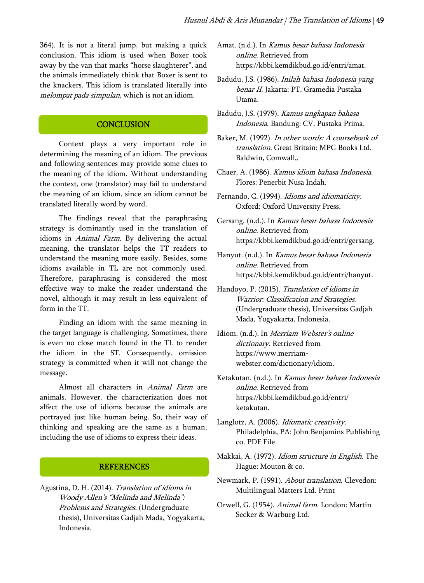364). It is not a literal jump, but making a quick conclusion. This idiom is used when Boxer took away by the van that marks "horse slaughterer", and the animals immediately think that Boxer is sent to the knackers. This idiom is translated literally into melompat pada simpulan, which is not an idiom.

#### **CONCLUSION**

Context plays a very important role in determining the meaning of an idiom. The previous and following sentences may provide some clues to the meaning of the idiom. Without understanding the context, one (translator) may fail to understand the meaning of an idiom, since an idiom cannot be translated literally word by word.

The findings reveal that the paraphrasing strategy is dominantly used in the translation of idioms in Animal Farm. By delivering the actual meaning, the translator helps the TT readers to understand the meaning more easily. Besides, some idioms available in TL are not commonly used. Therefore, paraphrasing is considered the most effective way to make the reader understand the novel, although it may result in less equivalent of form in the TT.

Finding an idiom with the same meaning in the target language is challenging. Sometimes, there is even no close match found in the TL to render the idiom in the ST. Consequently, omission strategy is committed when it will not change the message.

Almost all characters in Animal Farm are animals. However, the characterization does not affect the use of idioms because the animals are portrayed just like human being. So, their way of thinking and speaking are the same as a human, including the use of idioms to express their ideas.

#### **REFERENCES**

Agustina, D. H. (2014). Translation of idioms in Woody Allen's "Melinda and Melinda": Problems and Strategies. (Undergraduate thesis), Universitas Gadjah Mada, Yogyakarta, Indonesia.

Amat. (n.d.). In Kamus besar bahasa Indonesia online. Retrieved from https://kbbi.kemdikbud.go.id/entri/amat.

- Badudu, J.S. (1986). Inilah bahasa Indonesia yang benar II. Jakarta: PT. Gramedia Pustaka Utama.
- Badudu, J.S. (1979). Kamus ungkapan bahasa Indonesia. Bandung: CV. Pustaka Prima.
- Baker, M. (1992). In other words: A coursebook of translation. Great Britain: MPG Books Ltd. Baldwin, Comwall,.
- Chaer, A. (1986). Kamus idiom bahasa Indonesia. Flores: Penerbit Nusa Indah.
- Fernando, C. (1994). Idioms and idiomaticity. Oxford: Oxford University Press.
- Gersang. (n.d.). In Kamus besar bahasa Indonesia online. Retrieved from https://kbbi.kemdikbud.go.id/entri/gersang.
- Hanyut. (n.d.). In Kamus besar bahasa Indonesia online. Retrieved from https://kbbi.kemdikbud.go.id/entri/hanyut.
- Handoyo, P. (2015). Translation of idioms in Warrior: Classification and Strategies. (Undergraduate thesis), Universitas Gadjah Mada, Yogyakarta, Indonesia.
- Idiom. (n.d.). In Merriam Webster's online dictionary. Retrieved from https://www.merriamwebster.com/dictionary/idiom.
- Ketakutan. (n.d.). In Kamus besar bahasa Indonesia online. Retrieved from https://kbbi.kemdikbud.go.id/entri/ ketakutan.
- Langlotz, A. (2006). Idiomatic creativity. Philadelphia, PA: John Benjamins Publishing co. PDF File
- Makkai, A. (1972). Idiom structure in English. The Hague: Mouton & co.
- Newmark, P. (1991). About translation. Clevedon: Multilingual Matters Ltd. Print
- Orwell, G. (1954). Animal farm. London: Martin Secker & Warburg Ltd.